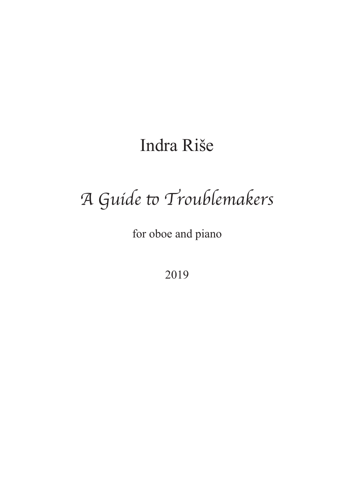## Indra Riše

# A Guide to Troublemakers

for oboe and piano

2019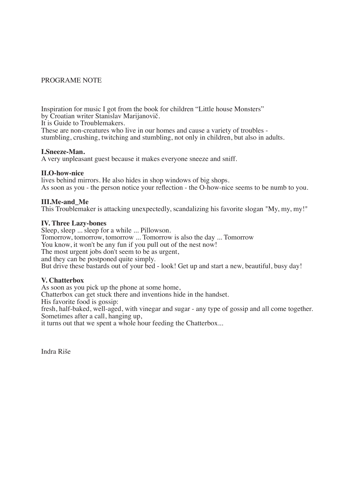#### PROGRAME NOTE

Inspiration for music I got from the book for children "Little house Monsters" by Croatian writer Stanislav Marijanovič. It is Guide to Troublemakers.

These are non-creatures who live in our homes and cause a variety of troubles stumbling, crushing, twitching and stumbling, not only in children, but also in adults.

#### **I.Sneeze-Man.**

A very unpleasant guest because it makes everyone sneeze and sniff.

#### **II.O-how-nice**

lives behind mirrors. He also hides in shop windows of big shops. As soon as you - the person notice your reflection - the O-how-nice seems to be numb to you.

#### **III.Me-and\_Me**

This Troublemaker is attacking unexpectedly, scandalizing his favorite slogan "My, my, my!"

#### **IV. Three Lazy-bones**

Sleep, sleep ... sleep for a while ... Pillowson. Tomorrow, tomorrow, tomorrow ... Tomorrow is also the day ... Tomorrow You know, it won't be any fun if you pull out of the nest now! The most urgent jobs don't seem to be as urgent, and they can be postponed quite simply. But drive these bastards out of your bed - look! Get up and start a new, beautiful, busy day!

#### **V. Chatterbox**

As soon as you pick up the phone at some home,

Chatterbox can get stuck there and inventions hide in the handset.

His favorite food is gossip:

fresh, half-baked, well-aged, with vinegar and sugar - any type of gossip and all come together. Sometimes after a call, hanging up,

it turns out that we spent a whole hour feeding the Chatterbox...

Indra Riše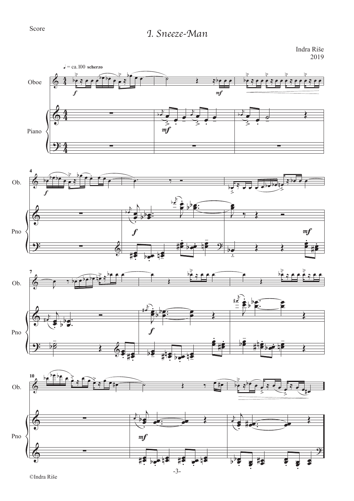### Score *I. Sneeze-Man*

Indra Riše 2019

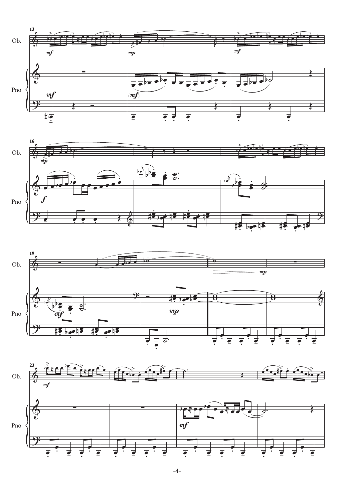